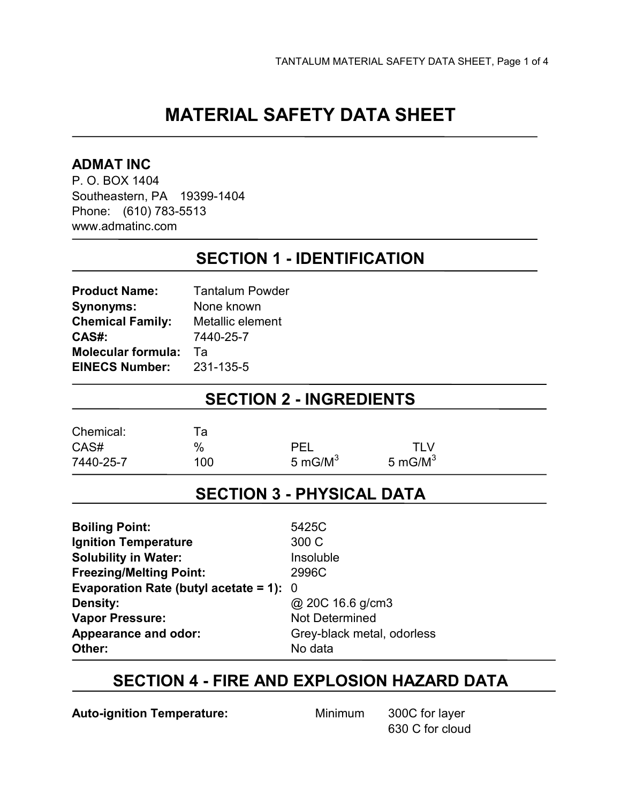# **MATERIAL SAFETY DATA SHEET**

#### **ADMAT INC**

P. O. BOX 1404 Southeastern, PA 19399-1404 Phone: (610) 783-5513 www.admatinc.com

### **SECTION 1 - IDENTIFICATION**

| <b>Product Name:</b>      | <b>Tantalum Powder</b> |
|---------------------------|------------------------|
| <b>Synonyms:</b>          | None known             |
| <b>Chemical Family:</b>   | Metallic element       |
| CAS#:                     | 7440-25-7              |
| <b>Molecular formula:</b> | Та                     |
| <b>EINECS Number:</b>     | 231-135-5              |
|                           |                        |

### **SECTION 2 - INGREDIENTS**

| Chemical: | та  |            |            |
|-----------|-----|------------|------------|
| CAS#      | %   | <b>PEL</b> | <b>TLV</b> |
| 7440-25-7 | 100 | 5 mG/ $M3$ | 5 mG/ $M3$ |

### **SECTION 3 - PHYSICAL DATA**

| <b>Boiling Point:</b>                     | 5425C                      |
|-------------------------------------------|----------------------------|
| <b>Ignition Temperature</b>               | 300 C                      |
| <b>Solubility in Water:</b>               | Insoluble                  |
| <b>Freezing/Melting Point:</b>            | 2996C                      |
| Evaporation Rate (butyl acetate = 1): $0$ |                            |
| <b>Density:</b>                           | @ 20C 16.6 g/cm3           |
| <b>Vapor Pressure:</b>                    | Not Determined             |
| Appearance and odor:                      | Grey-black metal, odorless |
| Other:                                    | No data                    |

### **SECTION 4 - FIRE AND EXPLOSION HAZARD DATA**

**Auto-ignition Temperature:** Minimum 300C for layer

630 C for cloud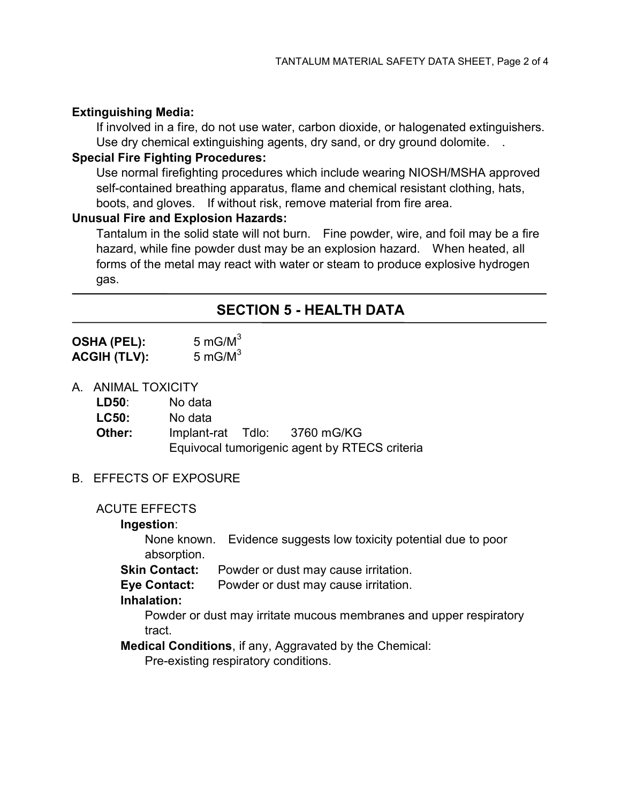#### **Extinguishing Media:**

If involved in a fire, do not use water, carbon dioxide, or halogenated extinguishers. Use dry chemical extinguishing agents, dry sand, or dry ground dolomite. .

#### **Special Fire Fighting Procedures:**

Use normal firefighting procedures which include wearing NIOSH/MSHA approved self-contained breathing apparatus, flame and chemical resistant clothing, hats, boots, and gloves. If without risk, remove material from fire area.

#### **Unusual Fire and Explosion Hazards:**

Tantalum in the solid state will not burn. Fine powder, wire, and foil may be a fire hazard, while fine powder dust may be an explosion hazard. When heated, all forms of the metal may react with water or steam to produce explosive hydrogen gas.

### **SECTION 5 - HEALTH DATA**

**OSHA (PEL):** 5 mG/M<sup>3</sup> **ACGIH (TLV):** 5 mG/M<sup>3</sup>

A. ANIMAL TOXICITY

| LD50:        | No data |                                               |
|--------------|---------|-----------------------------------------------|
| <b>LC50:</b> | No data |                                               |
| Other:       |         | Implant-rat Tdlo: 3760 mG/KG                  |
|              |         | Equivocal tumorigenic agent by RTECS criteria |

#### B. EFFECTS OF EXPOSURE

#### ACUTE EFFECTS

#### **Ingestion**:

None known. Evidence suggests low toxicity potential due to poor absorption.

**Skin Contact:** Powder or dust may cause irritation.

**Eye Contact:** Powder or dust may cause irritation.

#### **Inhalation:**

Powder or dust may irritate mucous membranes and upper respiratory tract.

**Medical Conditions**, if any, Aggravated by the Chemical:

Pre-existing respiratory conditions.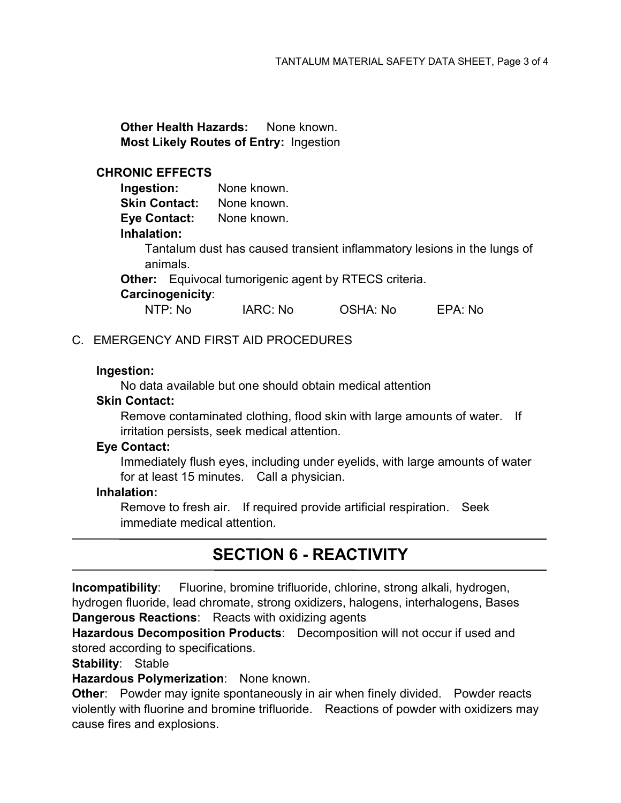**Other Health Hazards:** None known. **Most Likely Routes of Entry:** Ingestion

#### **CHRONIC EFFECTS**

| Ingestion:                                                              | None known. |          |         |  |  |
|-------------------------------------------------------------------------|-------------|----------|---------|--|--|
| <b>Skin Contact:</b>                                                    | None known. |          |         |  |  |
| <b>Eye Contact:</b>                                                     | None known. |          |         |  |  |
| Inhalation:                                                             |             |          |         |  |  |
| Tantalum dust has caused transient inflammatory lesions in the lungs of |             |          |         |  |  |
| animals.                                                                |             |          |         |  |  |
| <b>Other:</b> Equivocal tumorigenic agent by RTECS criteria.            |             |          |         |  |  |
| Carcinogenicity:                                                        |             |          |         |  |  |
| NTP: No                                                                 | IARC: No    | OSHA: No | EPA: No |  |  |

#### C. EMERGENCY AND FIRST AID PROCEDURES

#### **Ingestion:**

No data available but one should obtain medical attention

#### **Skin Contact:**

Remove contaminated clothing, flood skin with large amounts of water. If irritation persists, seek medical attention.

#### **Eye Contact:**

Immediately flush eyes, including under eyelids, with large amounts of water for at least 15 minutes. Call a physician.

#### **Inhalation:**

Remove to fresh air. If required provide artificial respiration. Seek immediate medical attention.

## **SECTION 6 - REACTIVITY**

**Incompatibility**: Fluorine, bromine trifluoride, chlorine, strong alkali, hydrogen, hydrogen fluoride, lead chromate, strong oxidizers, halogens, interhalogens, Bases **Dangerous Reactions**: Reacts with oxidizing agents

**Hazardous Decomposition Products**: Decomposition will not occur if used and stored according to specifications.

**Stability**: Stable

**Hazardous Polymerization**: None known.

**Other**: Powder may ignite spontaneously in air when finely divided. Powder reacts violently with fluorine and bromine trifluoride. Reactions of powder with oxidizers may cause fires and explosions.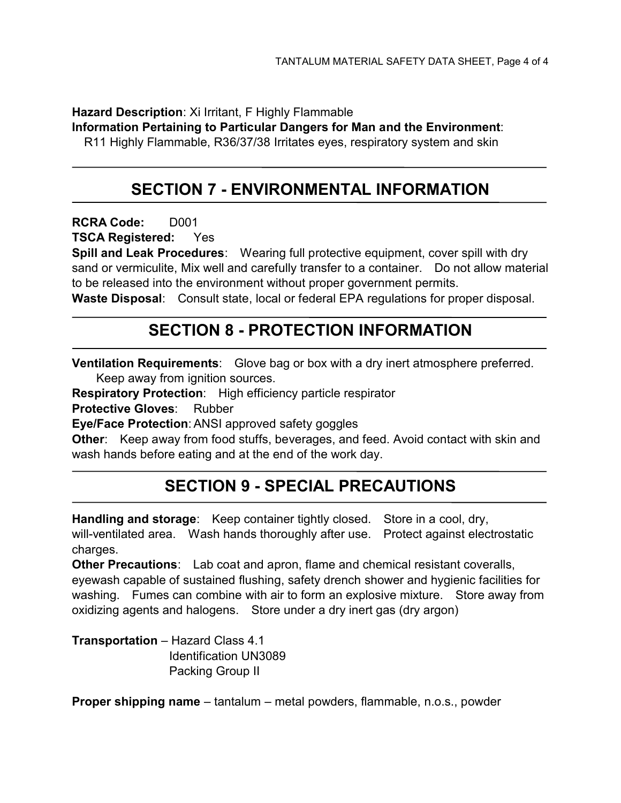**Hazard Description**: Xi Irritant, F Highly Flammable

**Information Pertaining to Particular Dangers for Man and the Environment**:

R11 Highly Flammable, R36/37/38 Irritates eyes, respiratory system and skin

## **SECTION 7 - ENVIRONMENTAL INFORMATION**

**RCRA Code:** D001

**TSCA Registered:** Yes

**Spill and Leak Procedures**: Wearing full protective equipment, cover spill with dry sand or vermiculite, Mix well and carefully transfer to a container. Do not allow material to be released into the environment without proper government permits.

**Waste Disposal**: Consult state, local or federal EPA regulations for proper disposal.

## **SECTION 8 - PROTECTION INFORMATION**

**Ventilation Requirements**: Glove bag or box with a dry inert atmosphere preferred.

Keep away from ignition sources.

**Respiratory Protection**: High efficiency particle respirator

**Protective Gloves**: Rubber

**Eye/Face Protection**: ANSI approved safety goggles

**Other**: Keep away from food stuffs, beverages, and feed. Avoid contact with skin and wash hands before eating and at the end of the work day.

## **SECTION 9 - SPECIAL PRECAUTIONS**

**Handling and storage**: Keep container tightly closed. Store in a cool, dry, will-ventilated area. Wash hands thoroughly after use. Protect against electrostatic charges.

**Other Precautions**: Lab coat and apron, flame and chemical resistant coveralls, eyewash capable of sustained flushing, safety drench shower and hygienic facilities for washing. Fumes can combine with air to form an explosive mixture. Store away from oxidizing agents and halogens. Store under a dry inert gas (dry argon)

**Transportation** – Hazard Class 4.1 Identification UN3089 Packing Group II

**Proper shipping name** – tantalum – metal powders, flammable, n.o.s., powder